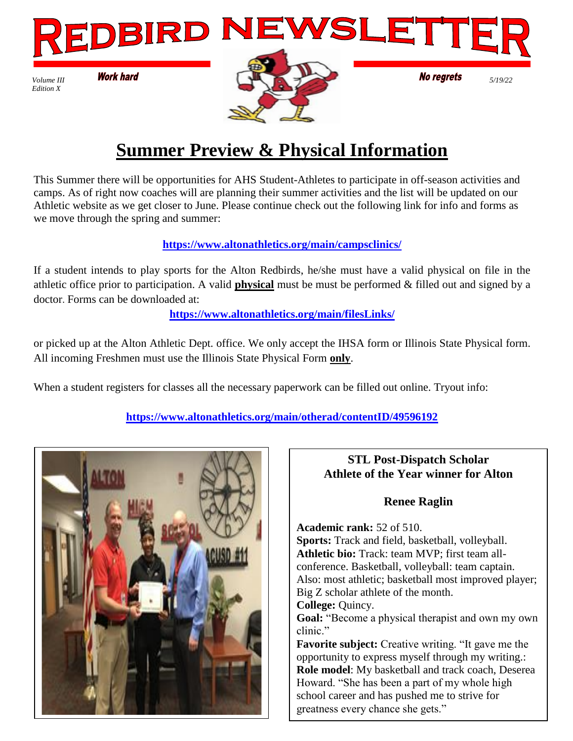

# **Summer Preview & Physical Information**

This Summer there will be opportunities for AHS Student-Athletes to participate in off-season activities and camps. As of right now coaches will are planning their summer activities and the list will be updated on our Athletic website as we get closer to June. Please continue check out the following link for info and forms as we move through the spring and summer:

#### **<https://www.altonathletics.org/main/campsclinics/>**

If a student intends to play sports for the Alton Redbirds, he/she must have a valid physical on file in the athletic office prior to participation. A valid **physical** must be must be performed & filled out and signed by a doctor. Forms can be downloaded at:

**<https://www.altonathletics.org/main/filesLinks/>**

or picked up at the Alton Athletic Dept. office. We only accept the IHSA form or Illinois State Physical form. All incoming Freshmen must use the Illinois State Physical Form **only**.

When a student registers for classes all the necessary paperwork can be filled out online. Tryout info:

### **<https://www.altonathletics.org/main/otherad/contentID/49596192>**



## **STL Post-Dispatch Scholar Athlete of the Year winner for Alton Renee Raglin Academic rank:** 52 of 510. **Sports:** Track and field, basketball, volleyball. **Athletic bio:** Track: team MVP; first team allconference. Basketball, volleyball: team captain. Also: most athletic; basketball most improved player; Big Z scholar athlete of the month. **College:** Quincy. **Goal:** "Become a physical therapist and own my own clinic." **Favorite subject:** Creative writing. "It gave me the opportunity to express myself through my writing.: **Role model**: My basketball and track coach, Deserea Howard. "She has been a part of my whole high school career and has pushed me to strive for

greatness every chance she gets."